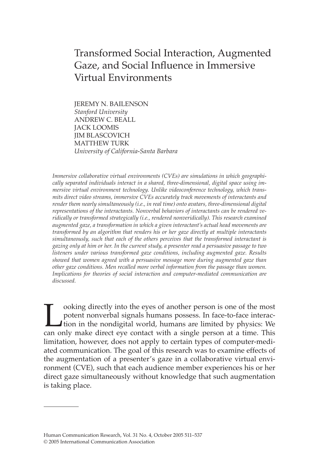# Transformed Social Interaction, Augmented Gaze, and Social Influence in Immersive Virtual Environments

JEREMY N. BAILENSON *Stanford University* ANDREW C. BEALL JACK LOOMIS **IIM BLASCOVICH** MATTHEW TURK *University of California-Santa Barbara*

*Immersive collaborative virtual environments (CVEs) are simulations in which geographically separated individuals interact in a shared, three-dimensional, digital space using immersive virtual environment technology. Unlike videoconference technology, which transmits direct video streams, immersive CVEs accurately track movements of interactants and render them nearly simultaneously (i.e., in real time) onto avatars, three-dimensional digital representations of the interactants. Nonverbal behaviors of interactants can be rendered veridically or transformed strategically (i.e., rendered nonveridically). This research examined augmented gaze, a transformation in which a given interactant's actual head movements are transformed by an algorithm that renders his or her gaze directly at multiple interactants simultaneously, such that each of the others perceives that the transformed interactant is gazing only at him or her. In the current study, a presenter read a persuasive passage to two listeners under various transformed gaze conditions, including augmented gaze. Results showed that women agreed with a persuasive message more during augmented gaze than other gaze conditions. Men recalled more verbal information from the passage than women. Implications for theories of social interaction and computer-mediated communication are discussed.*

ooking directly into the eyes of another person is one of the most<br>potent nonverbal signals humans possess. In face-to-face interac-<br>tion in the nondigital world, humans are limited by physics: We<br>can only make direct eve potent nonverbal signals humans possess. In face-to-face interac-**I** tion in the nondigital world, humans are limited by physics: We can only make direct eye contact with a single person at a time. This limitation, however, does not apply to certain types of computer-mediated communication. The goal of this research was to examine effects of the augmentation of a presenter's gaze in a collaborative virtual environment (CVE), such that each audience member experiences his or her direct gaze simultaneously without knowledge that such augmentation is taking place.

Human Communication Research, Vol. 31 No. 4, October 2005 511–537 © 2005 International Communication Association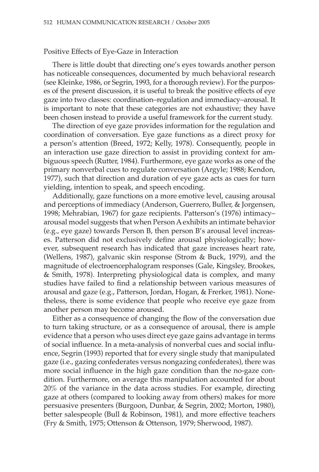### Positive Effects of Eye-Gaze in Interaction

There is little doubt that directing one's eyes towards another person has noticeable consequences, documented by much behavioral research (see Kleinke, 1986, or Segrin, 1993, for a thorough review). For the purposes of the present discussion, it is useful to break the positive effects of eye gaze into two classes: coordination–regulation and immediacy–arousal. It is important to note that these categories are not exhaustive; they have been chosen instead to provide a useful framework for the current study.

The direction of eye gaze provides information for the regulation and coordination of conversation. Eye gaze functions as a direct proxy for a person's attention (Breed, 1972; Kelly, 1978). Consequently, people in an interaction use gaze direction to assist in providing context for ambiguous speech (Rutter, 1984). Furthermore, eye gaze works as one of the primary nonverbal cues to regulate conversation (Argyle; 1988; Kendon, 1977), such that direction and duration of eye gaze acts as cues for turn yielding, intention to speak, and speech encoding.

Additionally, gaze functions on a more emotive level, causing arousal and perceptions of immediacy (Anderson, Guerrero, Buller, & Jorgensen, 1998; Mehrabian, 1967) for gaze recipients. Patterson's (1976) intimacy– arousal model suggests that when Person A exhibits an intimate behavior (e.g., eye gaze) towards Person B, then person B's arousal level increases. Patterson did not exclusively define arousal physiologically; however, subsequent research has indicated that gaze increases heart rate, (Wellens, 1987), galvanic skin response (Strom & Buck, 1979), and the magnitude of electroencephalogram responses (Gale, Kingsley, Brookes, & Smith, 1978). Interpreting physiological data is complex, and many studies have failed to find a relationship between various measures of arousal and gaze (e.g., Patterson, Jordan, Hogan, & Frerker, 1981). Nonetheless, there is some evidence that people who receive eye gaze from another person may become aroused.

Either as a consequence of changing the flow of the conversation due to turn taking structure, or as a consequence of arousal, there is ample evidence that a person who uses direct eye gaze gains advantage in terms of social influence. In a meta-analysis of nonverbal cues and social influence, Segrin (1993) reported that for every single study that manipulated gaze (i.e., gazing confederates versus nongazing confederates), there was more social influence in the high gaze condition than the no-gaze condition. Furthermore, on average this manipulation accounted for about 20% of the variance in the data across studies. For example, directing gaze at others (compared to looking away from others) makes for more persuasive presenters (Burgoon, Dunbar, & Segrin, 2002; Morton, 1980), better salespeople (Bull & Robinson, 1981), and more effective teachers (Fry & Smith, 1975; Ottenson & Ottenson, 1979; Sherwood, 1987).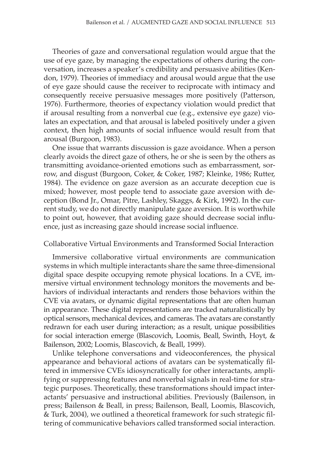Theories of gaze and conversational regulation would argue that the use of eye gaze, by managing the expectations of others during the conversation, increases a speaker's credibility and persuasive abilities (Kendon, 1979). Theories of immediacy and arousal would argue that the use of eye gaze should cause the receiver to reciprocate with intimacy and consequently receive persuasive messages more positively (Patterson, 1976). Furthermore, theories of expectancy violation would predict that if arousal resulting from a nonverbal cue (e.g., extensive eye gaze) violates an expectation, and that arousal is labeled positively under a given context, then high amounts of social influence would result from that arousal (Burgoon, 1983).

One issue that warrants discussion is gaze avoidance. When a person clearly avoids the direct gaze of others, he or she is seen by the others as transmitting avoidance-oriented emotions such as embarrassment, sorrow, and disgust (Burgoon, Coker, & Coker, 1987; Kleinke, 1986; Rutter, 1984). The evidence on gaze aversion as an accurate deception cue is mixed; however, most people tend to associate gaze aversion with deception (Bond Jr., Omar, Pitre, Lashley, Skaggs, & Kirk, 1992). In the current study, we do not directly manipulate gaze aversion. It is worthwhile to point out, however, that avoiding gaze should decrease social influence, just as increasing gaze should increase social influence.

# Collaborative Virtual Environments and Transformed Social Interaction

Immersive collaborative virtual environments are communication systems in which multiple interactants share the same three-dimensional digital space despite occupying remote physical locations. In a CVE, immersive virtual environment technology monitors the movements and behaviors of individual interactants and renders those behaviors within the CVE via avatars, or dynamic digital representations that are often human in appearance. These digital representations are tracked naturalistically by optical sensors, mechanical devices, and cameras. The avatars are constantly redrawn for each user during interaction; as a result, unique possibilities for social interaction emerge (Blascovich, Loomis, Beall, Swinth, Hoyt, & Bailenson, 2002; Loomis, Blascovich, & Beall, 1999).

Unlike telephone conversations and videoconferences, the physical appearance and behavioral actions of avatars can be systematically filtered in immersive CVEs idiosyncratically for other interactants, amplifying or suppressing features and nonverbal signals in real-time for strategic purposes. Theoretically, these transformations should impact interactants' persuasive and instructional abilities. Previously (Bailenson, in press; Bailenson & Beall, in press; Bailenson, Beall, Loomis, Blascovich, & Turk, 2004), we outlined a theoretical framework for such strategic fi ltering of communicative behaviors called transformed social interaction.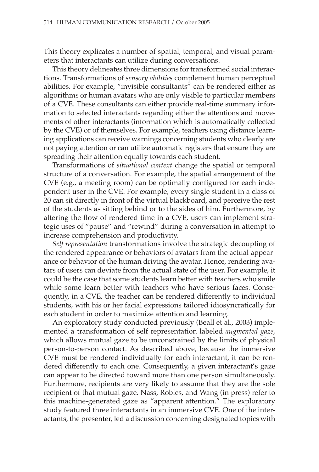This theory explicates a number of spatial, temporal, and visual parameters that interactants can utilize during conversations.

This theory delineates three dimensions for transformed social interactions. Transformations of *sensory abilities* complement human perceptual abilities. For example, "invisible consultants" can be rendered either as algorithms or human avatars who are only visible to particular members of a CVE. These consultants can either provide real-time summary information to selected interactants regarding either the attentions and movements of other interactants (information which is automatically collected by the CVE) or of themselves. For example, teachers using distance learning applications can receive warnings concerning students who clearly are not paying attention or can utilize automatic registers that ensure they are spreading their attention equally towards each student.

Transformations of *situational context* change the spatial or temporal structure of a conversation. For example, the spatial arrangement of the CVE (e.g., a meeting room) can be optimally configured for each independent user in the CVE. For example, every single student in a class of 20 can sit directly in front of the virtual blackboard, and perceive the rest of the students as sitting behind or to the sides of him. Furthermore, by altering the flow of rendered time in a CVE, users can implement strategic uses of "pause" and "rewind" during a conversation in attempt to increase comprehension and productivity.

*Self representation* transformations involve the strategic decoupling of the rendered appearance or behaviors of avatars from the actual appearance or behavior of the human driving the avatar. Hence, rendering avatars of users can deviate from the actual state of the user. For example, it could be the case that some students learn better with teachers who smile while some learn better with teachers who have serious faces. Consequently, in a CVE, the teacher can be rendered differently to individual students, with his or her facial expressions tailored idiosyncratically for each student in order to maximize attention and learning.

An exploratory study conducted previously (Beall et al., 2003) implemented a transformation of self representation labeled *augmented gaze*, which allows mutual gaze to be unconstrained by the limits of physical person-to-person contact. As described above, because the immersive CVE must be rendered individually for each interactant, it can be rendered differently to each one. Consequently, a given interactant's gaze can appear to be directed toward more than one person simultaneously. Furthermore, recipients are very likely to assume that they are the sole recipient of that mutual gaze. Nass, Robles, and Wang (in press) refer to this machine-generated gaze as "apparent attention." The exploratory study featured three interactants in an immersive CVE. One of the interactants, the presenter, led a discussion concerning designated topics with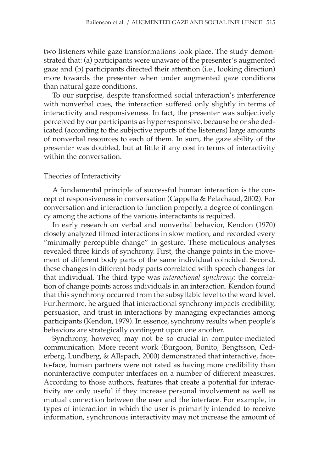two listeners while gaze transformations took place. The study demonstrated that: (a) participants were unaware of the presenter's augmented gaze and (b) participants directed their attention (i.e., looking direction) more towards the presenter when under augmented gaze conditions than natural gaze conditions.

To our surprise, despite transformed social interaction's interference with nonverbal cues, the interaction suffered only slightly in terms of interactivity and responsiveness. In fact, the presenter was subjectively perceived by our participants as hyperresponsive, because he or she dedicated (according to the subjective reports of the listeners) large amounts of nonverbal resources to each of them. In sum, the gaze ability of the presenter was doubled, but at little if any cost in terms of interactivity within the conversation.

### Theories of Interactivity

A fundamental principle of successful human interaction is the concept of responsiveness in conversation (Cappella & Pelachaud, 2002). For conversation and interaction to function properly, a degree of contingency among the actions of the various interactants is required.

In early research on verbal and nonverbal behavior, Kendon (1970) closely analyzed filmed interactions in slow motion, and recorded every "minimally perceptible change" in gesture. These meticulous analyses revealed three kinds of synchrony. First, the change points in the movement of different body parts of the same individual coincided. Second, these changes in different body parts correlated with speech changes for that individual. The third type was *interactional synchrony:* the correlation of change points across individuals in an interaction. Kendon found that this synchrony occurred from the subsyllabic level to the word level. Furthermore, he argued that interactional synchrony impacts credibility, persuasion, and trust in interactions by managing expectancies among participants (Kendon, 1979). In essence, synchrony results when people's behaviors are strategically contingent upon one another.

Synchrony, however, may not be so crucial in computer-mediated communication. More recent work (Burgoon, Bonito, Bengtsson, Cederberg, Lundberg, & Allspach, 2000) demonstrated that interactive, faceto-face, human partners were not rated as having more credibility than noninteractive computer interfaces on a number of different measures. According to those authors, features that create a potential for interactivity are only useful if they increase personal involvement as well as mutual connection between the user and the interface. For example, in types of interaction in which the user is primarily intended to receive information, synchronous interactivity may not increase the amount of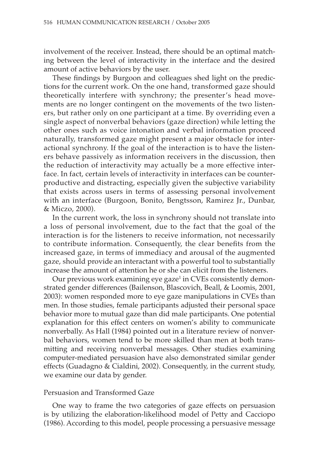involvement of the receiver. Instead, there should be an optimal matching between the level of interactivity in the interface and the desired amount of active behaviors by the user.

These findings by Burgoon and colleagues shed light on the predictions for the current work. On the one hand, transformed gaze should theoretically interfere with synchrony; the presenter's head movements are no longer contingent on the movements of the two listeners, but rather only on one participant at a time. By overriding even a single aspect of nonverbal behaviors (gaze direction) while letting the other ones such as voice intonation and verbal information proceed naturally, transformed gaze might present a major obstacle for interactional synchrony. If the goal of the interaction is to have the listeners behave passively as information receivers in the discussion, then the reduction of interactivity may actually be a more effective interface. In fact, certain levels of interactivity in interfaces can be counterproductive and distracting, especially given the subjective variability that exists across users in terms of assessing personal involvement with an interface (Burgoon, Bonito, Bengtsson, Ramirez Jr., Dunbar, & Miczo, 2000).

In the current work, the loss in synchrony should not translate into a loss of personal involvement, due to the fact that the goal of the interaction is for the listeners to receive information, not necessarily to contribute information. Consequently, the clear benefits from the increased gaze, in terms of immediacy and arousal of the augmented gaze, should provide an interactant with a powerful tool to substantially increase the amount of attention he or she can elicit from the listeners.

Our previous work examining eye gaze<sup>1</sup> in CVEs consistently demonstrated gender differences (Bailenson, Blascovich, Beall, & Loomis, 2001, 2003): women responded more to eye gaze manipulations in CVEs than men. In those studies, female participants adjusted their personal space behavior more to mutual gaze than did male participants. One potential explanation for this effect centers on women's ability to communicate nonverbally. As Hall (1984) pointed out in a literature review of nonverbal behaviors, women tend to be more skilled than men at both transmitting and receiving nonverbal messages. Other studies examining computer-mediated persuasion have also demonstrated similar gender effects (Guadagno & Cialdini, 2002). Consequently, in the current study, we examine our data by gender.

# Persuasion and Transformed Gaze

One way to frame the two categories of gaze effects on persuasion is by utilizing the elaboration-likelihood model of Petty and Cacciopo (1986). According to this model, people processing a persuasive message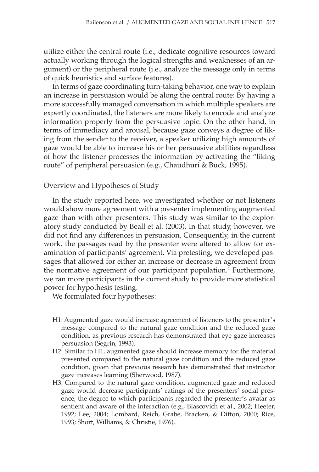utilize either the central route (i.e., dedicate cognitive resources toward actually working through the logical strengths and weaknesses of an argument) or the peripheral route (i.e., analyze the message only in terms of quick heuristics and surface features).

In terms of gaze coordinating turn-taking behavior, one way to explain an increase in persuasion would be along the central route: By having a more successfully managed conversation in which multiple speakers are expertly coordinated, the listeners are more likely to encode and analyze information properly from the persuasive topic. On the other hand, in terms of immediacy and arousal, because gaze conveys a degree of liking from the sender to the receiver, a speaker utilizing high amounts of gaze would be able to increase his or her persuasive abilities regardless of how the listener processes the information by activating the "liking route" of peripheral persuasion (e.g., Chaudhuri & Buck, 1995).

# Overview and Hypotheses of Study

In the study reported here, we investigated whether or not listeners would show more agreement with a presenter implementing augmented gaze than with other presenters. This study was similar to the exploratory study conducted by Beall et al. (2003). In that study, however, we did not find any differences in persuasion. Consequently, in the current work, the passages read by the presenter were altered to allow for examination of participants' agreement. Via pretesting, we developed passages that allowed for either an increase or decrease in agreement from the normative agreement of our participant population.<sup>2</sup> Furthermore, we ran more participants in the current study to provide more statistical power for hypothesis testing.

We formulated four hypotheses:

- H1: Augmented gaze would increase agreement of listeners to the presenter's message compared to the natural gaze condition and the reduced gaze condition, as previous research has demonstrated that eye gaze increases persuasion (Segrin, 1993).
- H2: Similar to H1, augmented gaze should increase memory for the material presented compared to the natural gaze condition and the reduced gaze condition, given that previous research has demonstrated that instructor gaze increases learning (Sherwood, 1987).
- H3: Compared to the natural gaze condition, augmented gaze and reduced gaze would decrease participants' ratings of the presenters' social presence, the degree to which participants regarded the presenter's avatar as sentient and aware of the interaction (e.g., Blascovich et al., 2002; Heeter, 1992; Lee, 2004; Lombard, Reich, Grabe, Bracken, & Ditton, 2000; Rice, 1993; Short, Williams, & Christie, 1976).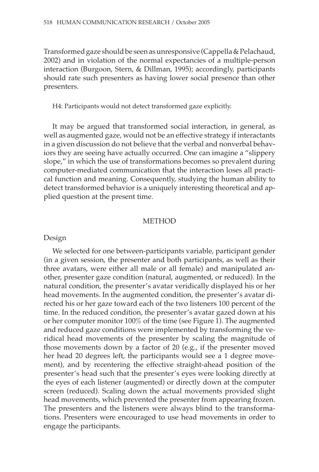Transformed gaze should be seen as unresponsive (Cappella & Pelachaud, 2002) and in violation of the normal expectancies of a multiple-person interaction (Burgoon, Stern, & Dillman, 1995); accordingly, participants should rate such presenters as having lower social presence than other presenters.

H4: Participants would not detect transformed gaze explicitly.

It may be argued that transformed social interaction, in general, as well as augmented gaze, would not be an effective strategy if interactants in a given discussion do not believe that the verbal and nonverbal behaviors they are seeing have actually occurred. One can imagine a "slippery slope," in which the use of transformations becomes so prevalent during computer-mediated communication that the interaction loses all practical function and meaning. Consequently, studying the human ability to detect transformed behavior is a uniquely interesting theoretical and applied question at the present time.

# **METHOD**

#### Design

We selected for one between-participants variable, participant gender (in a given session, the presenter and both participants, as well as their three avatars, were either all male or all female) and manipulated another, presenter gaze condition (natural, augmented, or reduced). In the natural condition, the presenter's avatar veridically displayed his or her head movements. In the augmented condition, the presenter's avatar directed his or her gaze toward each of the two listeners 100 percent of the time. In the reduced condition, the presenter's avatar gazed down at his or her computer monitor 100% of the time (see Figure 1). The augmented and reduced gaze conditions were implemented by transforming the veridical head movements of the presenter by scaling the magnitude of those movements down by a factor of 20 (e.g., if the presenter moved her head 20 degrees left, the participants would see a 1 degree movement), and by recentering the effective straight-ahead position of the presenter's head such that the presenter's eyes were looking directly at the eyes of each listener (augmented) or directly down at the computer screen (reduced). Scaling down the actual movements provided slight head movements, which prevented the presenter from appearing frozen. The presenters and the listeners were always blind to the transformations. Presenters were encouraged to use head movements in order to engage the participants.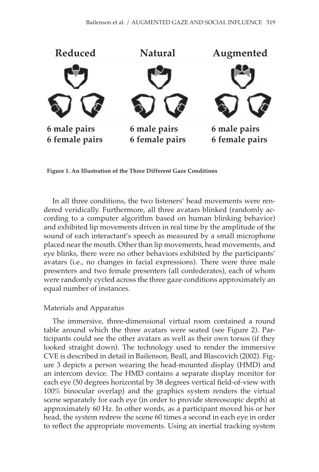

**Figure 1. An Illustration of the Three Different Gaze Conditions**

In all three conditions, the two listeners' head movements were rendered veridically. Furthermore, all three avatars blinked (randomly according to a computer algorithm based on human blinking behavior) and exhibited lip movements driven in real time by the amplitude of the sound of each interactant's speech as measured by a small microphone placed near the mouth. Other than lip movements, head movements, and eye blinks, there were no other behaviors exhibited by the participants' avatars (i.e., no changes in facial expressions). There were three male presenters and two female presenters (all confederates), each of whom were randomly cycled across the three gaze conditions approximately an equal number of instances.

# Materials and Apparatus

The immersive, three-dimensional virtual room contained a round table around which the three avatars were seated (see Figure 2). Participants could see the other avatars as well as their own torsos (if they looked straight down). The technology used to render the immersive CVE is described in detail in Bailenson, Beall, and Blascovich (2002). Figure 3 depicts a person wearing the head-mounted display (HMD) and an intercom device. The HMD contains a separate display monitor for each eye (50 degrees horizontal by 38 degrees vertical field-of-view with 100% binocular overlap) and the graphics system renders the virtual scene separately for each eye (in order to provide stereoscopic depth) at approximately 60 Hz. In other words, as a participant moved his or her head, the system redrew the scene 60 times a second in each eye in order to reflect the appropriate movements. Using an inertial tracking system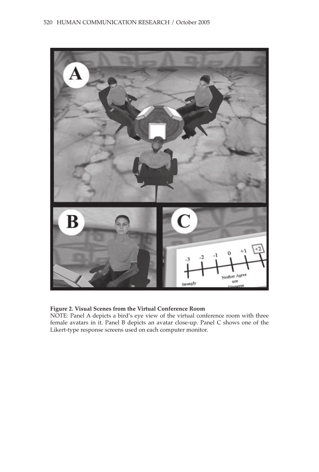

# **Figure 2. Visual Scenes from the Virtual Conference Room**

NOTE: Panel A depicts a bird's eye view of the virtual conference room with three female avatars in it. Panel B depicts an avatar close-up. Panel C shows one of the Likert-type response screens used on each computer monitor.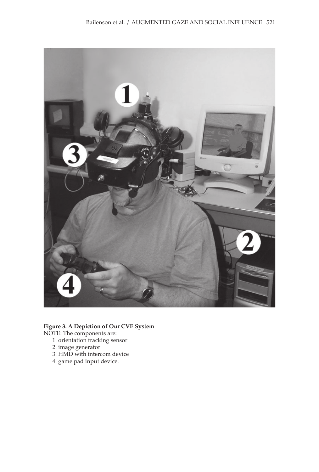

# **Figure 3. A Depiction of Our CVE System**

- NOTE: The components are:
	- 1. orientation tracking sensor
	- 2. image generator
	- 3. HMD with intercom device
	- 4. game pad input device.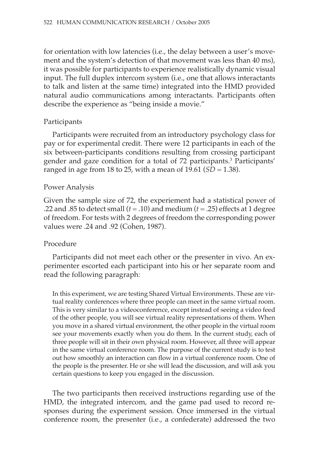for orientation with low latencies (i.e., the delay between a user's movement and the system's detection of that movement was less than 40 ms), it was possible for participants to experience realistically dynamic visual input. The full duplex intercom system (i.e., one that allows interactants to talk and listen at the same time) integrated into the HMD provided natural audio communications among interactants. Participants often describe the experience as "being inside a movie."

# Participants

Participants were recruited from an introductory psychology class for pay or for experimental credit. There were 12 participants in each of the six between-participants conditions resulting from crossing participant gender and gaze condition for a total of 72 participants.<sup>3</sup> Participants' ranged in age from 18 to 25, with a mean of 19.61 (*SD* = 1.38).

# Power Analysis

Given the sample size of 72, the experiement had a statistical power of .22 and .85 to detect small (*t* = .10) and medium (*t* = .25) effects at 1 degree of freedom. For tests with 2 degrees of freedom the corresponding power values were .24 and .92 (Cohen, 1987).

# Procedure

Participants did not meet each other or the presenter in vivo. An experimenter escorted each participant into his or her separate room and read the following paragraph:

In this experiment, we are testing Shared Virtual Environments. These are virtual reality conferences where three people can meet in the same virtual room. This is very similar to a videoconference, except instead of seeing a video feed of the other people, you will see virtual reality representations of them. When you move in a shared virtual environment, the other people in the virtual room see your movements exactly when you do them. In the current study, each of three people will sit in their own physical room. However, all three will appear in the same virtual conference room. The purpose of the current study is to test out how smoothly an interaction can flow in a virtual conference room. One of the people is the presenter. He or she will lead the discussion, and will ask you certain questions to keep you engaged in the discussion.

The two participants then received instructions regarding use of the HMD, the integrated intercom, and the game pad used to record responses during the experiment session. Once immersed in the virtual conference room, the presenter (i.e., a confederate) addressed the two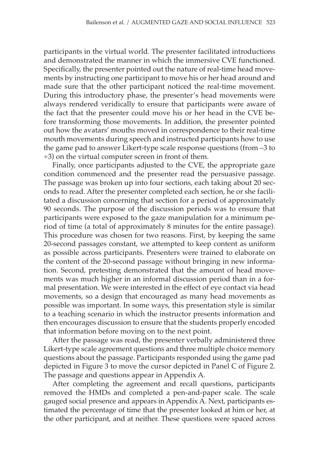participants in the virtual world. The presenter facilitated introductions and demonstrated the manner in which the immersive CVE functioned. Specifically, the presenter pointed out the nature of real-time head movements by instructing one participant to move his or her head around and made sure that the other participant noticed the real-time movement. During this introductory phase, the presenter's head movements were always rendered veridically to ensure that participants were aware of the fact that the presenter could move his or her head in the CVE before transforming those movements. In addition, the presenter pointed out how the avatars' mouths moved in correspondence to their real-time mouth movements during speech and instructed participants how to use the game pad to answer Likert-type scale response questions (from –3 to +3) on the virtual computer screen in front of them.

Finally, once participants adjusted to the CVE, the appropriate gaze condition commenced and the presenter read the persuasive passage. The passage was broken up into four sections, each taking about 20 seconds to read. After the presenter completed each section, he or she facilitated a discussion concerning that section for a period of approximately 90 seconds. The purpose of the discussion periods was to ensure that participants were exposed to the gaze manipulation for a minimum period of time (a total of approximately 8 minutes for the entire passage). This procedure was chosen for two reasons. First, by keeping the same 20-second passages constant, we attempted to keep content as uniform as possible across participants. Presenters were trained to elaborate on the content of the 20-second passage without bringing in new information. Second, pretesting demonstrated that the amount of head movements was much higher in an informal discussion period than in a formal presentation. We were interested in the effect of eye contact via head movements, so a design that encouraged as many head movements as possible was important. In some ways, this presentation style is similar to a teaching scenario in which the instructor presents information and then encourages discussion to ensure that the students properly encoded that information before moving on to the next point.

After the passage was read, the presenter verbally administered three Likert-type scale agreement questions and three multiple choice memory questions about the passage. Participants responded using the game pad depicted in Figure 3 to move the cursor depicted in Panel C of Figure 2. The passage and questions appear in Appendix A.

After completing the agreement and recall questions, participants removed the HMDs and completed a pen-and-paper scale. The scale gauged social presence and appears in Appendix A. Next, participants estimated the percentage of time that the presenter looked at him or her, at the other participant, and at neither. These questions were spaced across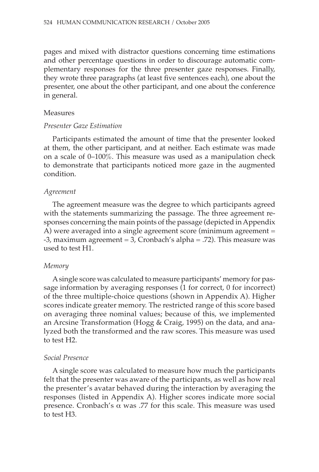pages and mixed with distractor questions concerning time estimations and other percentage questions in order to discourage automatic complementary responses for the three presenter gaze responses. Finally, they wrote three paragraphs (at least five sentences each), one about the presenter, one about the other participant, and one about the conference in general.

### Measures

### *Presenter Gaze Estimation*

Participants estimated the amount of time that the presenter looked at them, the other participant, and at neither. Each estimate was made on a scale of 0–100%. This measure was used as a manipulation check to demonstrate that participants noticed more gaze in the augmented condition.

### *Agreement*

The agreement measure was the degree to which participants agreed with the statements summarizing the passage. The three agreement responses concerning the main points of the passage (depicted in Appendix A) were averaged into a single agreement score (minimum agreement = -3, maximum agreement = 3, Cronbach's alpha = .72). This measure was used to test H1.

#### *Memory*

A single score was calculated to measure participants' memory for passage information by averaging responses (1 for correct, 0 for incorrect) of the three multiple-choice questions (shown in Appendix A). Higher scores indicate greater memory. The restricted range of this score based on averaging three nominal values; because of this, we implemented an Arcsine Transformation (Hogg & Craig, 1995) on the data, and analyzed both the transformed and the raw scores. This measure was used to test H2.

# *Social Presence*

A single score was calculated to measure how much the participants felt that the presenter was aware of the participants, as well as how real the presenter's avatar behaved during the interaction by averaging the responses (listed in Appendix A). Higher scores indicate more social presence. Cronbach's α was .77 for this scale. This measure was used to test H3.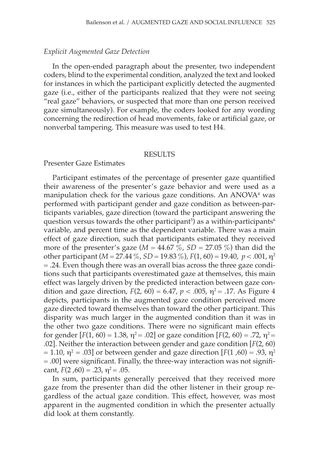### *Explicit Augmented Gaze Detection*

In the open-ended paragraph about the presenter, two independent coders, blind to the experimental condition, analyzed the text and looked for instances in which the participant explicitly detected the augmented gaze (i.e., either of the participants realized that they were not seeing "real gaze" behaviors, or suspected that more than one person received gaze simultaneously). For example, the coders looked for any wording concerning the redirection of head movements, fake or artificial gaze, or nonverbal tampering. This measure was used to test H4.

# RESULTS

# Presenter Gaze Estimates

Participant estimates of the percentage of presenter gaze quantified their awareness of the presenter's gaze behavior and were used as a manipulation check for the various gaze conditions. An ANOVA $^4$  was performed with participant gender and gaze condition as between-participants variables, gaze direction (toward the participant answering the question versus towards the other participant $^{\rm 5)}$  as a within-participants $^{\rm 6}$ variable, and percent time as the dependent variable. There was a main effect of gaze direction, such that participants estimated they received more of the presenter's gaze (*M* = 44.67 %, *SD* = 27.05 %) than did the other participant (*M* = 27.44 %, *SD* = 19.83 %), *F*(1, 60) = 19.40, *p* < .001, η<sup>2</sup> = .24. Even though there was an overall bias across the three gaze conditions such that participants overestimated gaze at themselves, this main effect was largely driven by the predicted interaction between gaze condition and gaze direction,  $F(2, 60) = 6.47$ ,  $p < .005$ ,  $\eta^2 = .17$ . As Figure 4 depicts, participants in the augmented gaze condition perceived more gaze directed toward themselves than toward the other participant. This disparity was much larger in the augmented condition than it was in the other two gaze conditions. There were no significant main effects for gender  $[F(1, 60) = 1.38, \eta^2 = .02]$  or gaze condition  $[F(2, 60) = .72, \eta^2 =$ .02]. Neither the interaction between gender and gaze condition [*F*(2, 60)  $= 1.10$ ,  $η^2 = .03$  or between gender and gaze direction [*F*(1,60) = .93,  $η^2$ = .00] were significant. Finally, the three-way interaction was not significant,  $F(2,60) = .23$ ,  $\eta^2 = .05$ .

In sum, participants generally perceived that they received more gaze from the presenter than did the other listener in their group regardless of the actual gaze condition. This effect, however, was most apparent in the augmented condition in which the presenter actually did look at them constantly.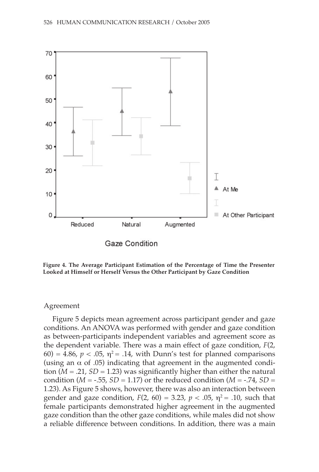

Gaze Condition

**Figure 4. The Average Participant Estimation of the Percentage of Time the Presenter Looked at Himself or Herself Versus the Other Participant by Gaze Condition** 

### Agreement

Figure 5 depicts mean agreement across participant gender and gaze conditions. An ANOVA was performed with gender and gaze condition as between-participants independent variables and agreement score as the dependent variable. There was a main effect of gaze condition, *F*(2, 60) = 4.86,  $p < .05$ ,  $\eta^2$  = .14, with Dunn's test for planned comparisons (using an  $\alpha$  of .05) indicating that agreement in the augmented condition  $(M = .21, SD = 1.23)$  was significantly higher than either the natural condition ( $M = -.55$ ,  $SD = 1.17$ ) or the reduced condition ( $M = -.74$ ,  $SD =$ 1.23). As Figure 5 shows, however, there was also an interaction between gender and gaze condition,  $F(2, 60) = 3.23$ ,  $p < .05$ ,  $\eta^2 = .10$ , such that female participants demonstrated higher agreement in the augmented gaze condition than the other gaze conditions, while males did not show a reliable difference between conditions. In addition, there was a main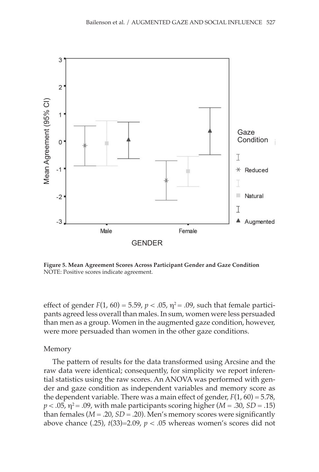

**Figure 5. Mean Agreement Scores Across Participant Gender and Gaze Condition**  NOTE: Positive scores indicate agreement.

effect of gender  $F(1, 60) = 5.59$ ,  $p < .05$ ,  $\eta^2 = .09$ , such that female participants agreed less overall than males. In sum, women were less persuaded than men as a group. Women in the augmented gaze condition, however, were more persuaded than women in the other gaze conditions.

Memory

The pattern of results for the data transformed using Arcsine and the raw data were identical; consequently, for simplicity we report inferential statistics using the raw scores. An ANOVA was performed with gender and gaze condition as independent variables and memory score as the dependent variable. There was a main effect of gender, *F*(1, 60) = 5.78,  $p < .05$ ,  $\eta^2 = .09$ , with male participants scoring higher (*M* = .30, *SD* = .15) than females ( $M = .20$ ,  $SD = .20$ ). Men's memory scores were significantly above chance  $(.25)$ ,  $t(33)=2.09$ ,  $p < .05$  whereas women's scores did not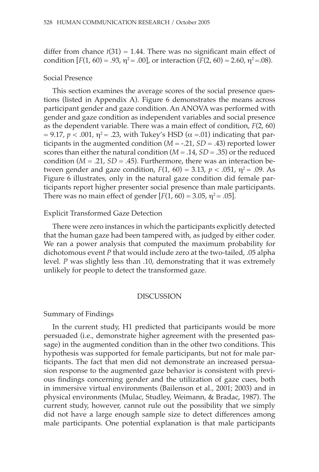differ from chance  $t(31) = 1.44$ . There was no significant main effect of condition  $[F(1, 60) = .93, \eta^2 = .00]$ , or interaction  $(F(2, 60) = 2.60, \eta^2 = .08)$ .

# Social Presence

This section examines the average scores of the social presence questions (listed in Appendix A). Figure 6 demonstrates the means across participant gender and gaze condition. An ANOVA was performed with gender and gaze condition as independent variables and social presence as the dependent variable. There was a main effect of condition, *F*(2, 60)  $= 9.17$ ,  $p < .001$ ,  $\eta^2 = .23$ , with Tukey's HSD ( $\alpha = .01$ ) indicating that participants in the augmented condition (*M* = -.21, *SD* = .43) reported lower scores than either the natural condition (*M* = .14, *SD* = .35) or the reduced condition  $(M = .21, SD = .45)$ . Furthermore, there was an interaction between gender and gaze condition,  $F(1, 60) = 3.13$ ,  $p < .051$ ,  $\eta^2 = .09$ . As Figure 6 illustrates, only in the natural gaze condition did female participants report higher presenter social presence than male participants. There was no main effect of gender  $[F(1, 60) = 3.05, \eta^2 = .05]$ .

# Explicit Transformed Gaze Detection

There were zero instances in which the participants explicitly detected that the human gaze had been tampered with, as judged by either coder. We ran a power analysis that computed the maximum probability for dichotomous event *P* that would include zero at the two-tailed, .05 alpha level*. P* was slightly less than .10, demonstrating that it was extremely unlikely for people to detect the transformed gaze.

# DISCUSSION

# Summary of Findings

In the current study, H1 predicted that participants would be more persuaded (i.e., demonstrate higher agreement with the presented passage) in the augmented condition than in the other two conditions. This hypothesis was supported for female participants, but not for male participants. The fact that men did not demonstrate an increased persuasion response to the augmented gaze behavior is consistent with previous findings concerning gender and the utilization of gaze cues, both in immersive virtual environments (Bailenson et al., 2001; 2003) and in physical environments (Mulac, Studley, Weimann, & Bradac, 1987). The current study, however, cannot rule out the possibility that we simply did not have a large enough sample size to detect differences among male participants. One potential explanation is that male participants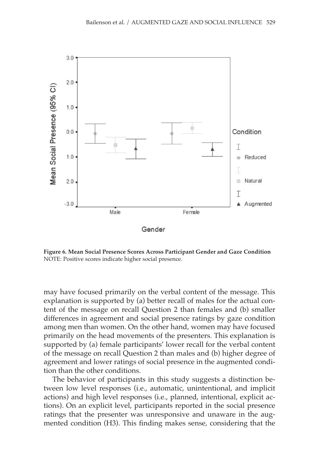

**Figure 6. Mean Social Presence Scores Across Participant Gender and Gaze Condition**  NOTE: Positive scores indicate higher social presence.

may have focused primarily on the verbal content of the message. This explanation is supported by (a) better recall of males for the actual content of the message on recall Question 2 than females and (b) smaller differences in agreement and social presence ratings by gaze condition among men than women. On the other hand, women may have focused primarily on the head movements of the presenters. This explanation is supported by (a) female participants' lower recall for the verbal content of the message on recall Question 2 than males and (b) higher degree of agreement and lower ratings of social presence in the augmented condition than the other conditions.

The behavior of participants in this study suggests a distinction between low level responses (i.e., automatic, unintentional, and implicit actions) and high level responses (i.e., planned, intentional, explicit actions). On an explicit level, participants reported in the social presence ratings that the presenter was unresponsive and unaware in the augmented condition (H3). This finding makes sense, considering that the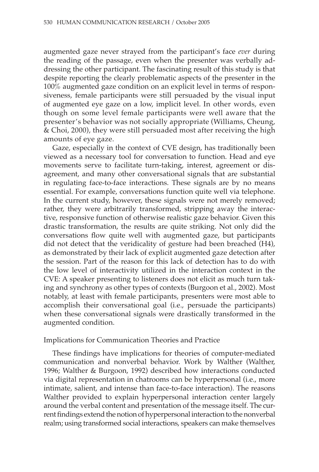augmented gaze never strayed from the participant's face *ever* during the reading of the passage, even when the presenter was verbally addressing the other participant. The fascinating result of this study is that despite reporting the clearly problematic aspects of the presenter in the 100% augmented gaze condition on an explicit level in terms of responsiveness, female participants were still persuaded by the visual input of augmented eye gaze on a low, implicit level. In other words, even though on some level female participants were well aware that the presenter's behavior was not socially appropriate (Williams, Cheung, & Choi, 2000), they were still persuaded most after receiving the high amounts of eye gaze.

Gaze, especially in the context of CVE design, has traditionally been viewed as a necessary tool for conversation to function. Head and eye movements serve to facilitate turn-taking, interest, agreement or disagreement, and many other conversational signals that are substantial in regulating face-to-face interactions. These signals are by no means essential. For example, conversations function quite well via telephone. In the current study, however, these signals were not merely removed; rather, they were arbitrarily transformed, stripping away the interactive, responsive function of otherwise realistic gaze behavior. Given this drastic transformation, the results are quite striking. Not only did the conversations flow quite well with augmented gaze, but participants did not detect that the veridicality of gesture had been breached (H4), as demonstrated by their lack of explicit augmented gaze detection after the session. Part of the reason for this lack of detection has to do with the low level of interactivity utilized in the interaction context in the CVE: A speaker presenting to listeners does not elicit as much turn taking and synchrony as other types of contexts (Burgoon et al., 2002). Most notably, at least with female participants, presenters were most able to accomplish their conversational goal (i.e., persuade the participants) when these conversational signals were drastically transformed in the augmented condition.

# Implications for Communication Theories and Practice

These findings have implications for theories of computer-mediated communication and nonverbal behavior. Work by Walther (Walther, 1996; Walther & Burgoon, 1992) described how interactions conducted via digital representation in chatrooms can be hyperpersonal (i.e., more intimate, salient, and intense than face-to-face interaction). The reasons Walther provided to explain hyperpersonal interaction center largely around the verbal content and presentation of the message itself. The current findings extend the notion of hyperpersonal interaction to the nonverbal realm; using transformed social interactions, speakers can make themselves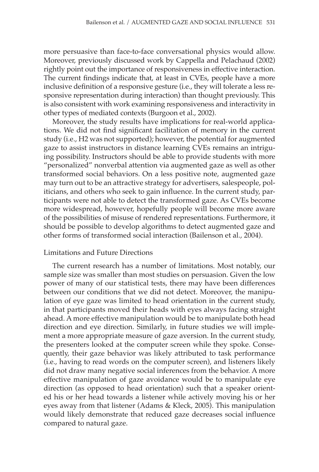more persuasive than face-to-face conversational physics would allow. Moreover, previously discussed work by Cappella and Pelachaud (2002) rightly point out the importance of responsiveness in effective interaction. The current findings indicate that, at least in CVEs, people have a more inclusive definition of a responsive gesture (i.e., they will tolerate a less responsive representation during interaction) than thought previously. This is also consistent with work examining responsiveness and interactivity in other types of mediated contexts (Burgoon et al., 2002).

Moreover, the study results have implications for real-world applications. We did not find significant facilitation of memory in the current study (i.e., H2 was not supported); however, the potential for augmented gaze to assist instructors in distance learning CVEs remains an intriguing possibility. Instructors should be able to provide students with more "personalized" nonverbal attention via augmented gaze as well as other transformed social behaviors. On a less positive note, augmented gaze may turn out to be an attractive strategy for advertisers, salespeople, politicians, and others who seek to gain influence. In the current study, participants were not able to detect the transformed gaze. As CVEs become more widespread, however, hopefully people will become more aware of the possibilities of misuse of rendered representations. Furthermore, it should be possible to develop algorithms to detect augmented gaze and other forms of transformed social interaction (Bailenson et al., 2004).

# Limitations and Future Directions

The current research has a number of limitations. Most notably, our sample size was smaller than most studies on persuasion. Given the low power of many of our statistical tests, there may have been differences between our conditions that we did not detect. Moreover, the manipulation of eye gaze was limited to head orientation in the current study, in that participants moved their heads with eyes always facing straight ahead. A more effective manipulation would be to manipulate both head direction and eye direction. Similarly, in future studies we will implement a more appropriate measure of gaze aversion. In the current study, the presenters looked at the computer screen while they spoke. Consequently, their gaze behavior was likely attributed to task performance (i.e., having to read words on the computer screen), and listeners likely did not draw many negative social inferences from the behavior. A more effective manipulation of gaze avoidance would be to manipulate eye direction (as opposed to head orientation) such that a speaker oriented his or her head towards a listener while actively moving his or her eyes away from that listener (Adams & Kleck, 2005). This manipulation would likely demonstrate that reduced gaze decreases social influence compared to natural gaze.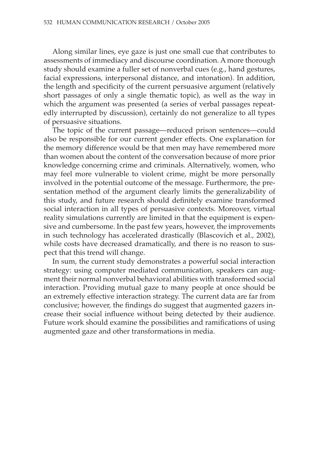Along similar lines, eye gaze is just one small cue that contributes to assessments of immediacy and discourse coordination. A more thorough study should examine a fuller set of nonverbal cues (e.g., hand gestures, facial expressions, interpersonal distance, and intonation). In addition, the length and specificity of the current persuasive argument (relatively short passages of only a single thematic topic), as well as the way in which the argument was presented (a series of verbal passages repeatedly interrupted by discussion), certainly do not generalize to all types of persuasive situations.

The topic of the current passage—reduced prison sentences—could also be responsible for our current gender effects. One explanation for the memory difference would be that men may have remembered more than women about the content of the conversation because of more prior knowledge concerning crime and criminals. Alternatively, women, who may feel more vulnerable to violent crime, might be more personally involved in the potential outcome of the message. Furthermore, the presentation method of the argument clearly limits the generalizability of this study, and future research should definitely examine transformed social interaction in all types of persuasive contexts. Moreover, virtual reality simulations currently are limited in that the equipment is expensive and cumbersome. In the past few years, however, the improvements in such technology has accelerated drastically (Blascovich et al., 2002), while costs have decreased dramatically, and there is no reason to suspect that this trend will change.

In sum, the current study demonstrates a powerful social interaction strategy: using computer mediated communication, speakers can augment their normal nonverbal behavioral abilities with transformed social interaction. Providing mutual gaze to many people at once should be an extremely effective interaction strategy. The current data are far from conclusive; however, the findings do suggest that augmented gazers increase their social influence without being detected by their audience. Future work should examine the possibilities and ramifications of using augmented gaze and other transformations in media.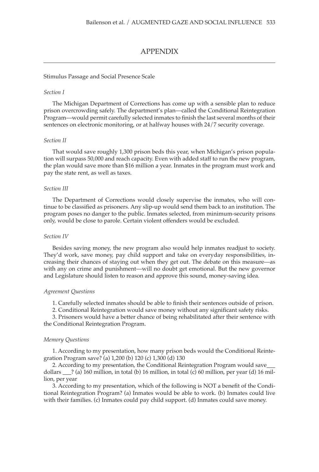## APPENDIX

#### Stimulus Passage and Social Presence Scale

#### *Section I*

The Michigan Department of Corrections has come up with a sensible plan to reduce prison overcrowding safely. The department's plan—called the Conditional Reintegration Program—would permit carefully selected inmates to finish the last several months of their sentences on electronic monitoring, or at halfway houses with 24/7 security coverage.

#### *Section II*

That would save roughly 1,300 prison beds this year, when Michigan's prison population will surpass 50,000 and reach capacity. Even with added staff to run the new program, the plan would save more than \$16 million a year. Inmates in the program must work and pay the state rent, as well as taxes.

#### *Section III*

The Department of Corrections would closely supervise the inmates, who will continue to be classified as prisoners. Any slip-up would send them back to an institution. The program poses no danger to the public. Inmates selected, from minimum-security prisons only, would be close to parole. Certain violent offenders would be excluded.

#### *Section IV*

Besides saving money, the new program also would help inmates readjust to society. They'd work, save money, pay child support and take on everyday responsibilities, increasing their chances of staying out when they get out. The debate on this measure—as with any on crime and punishment—will no doubt get emotional. But the new governor and Legislature should listen to reason and approve this sound, money-saving idea.

#### *Agreement Questions*

1. Carefully selected inmates should be able to finish their sentences outside of prison.

2. Conditional Reintegration would save money without any significant safety risks.

3. Prisoners would have a better chance of being rehabilitated after their sentence with the Conditional Reintegration Program.

#### *Memory Questions*

1. According to my presentation, how many prison beds would the Conditional Reintegration Program save? (a) 1,200 (b) 120 (c) 1,300 (d) 130

2. According to my presentation, the Conditional Reintegration Program would save\_\_\_ dollars  $\therefore$  (a) 160 million, in total (b) 16 million, in total (c) 60 million, per year (d) 16 million, per year

3. According to my presentation, which of the following is NOT a benefi t of the Conditional Reintegration Program? (a) Inmates would be able to work. (b) Inmates could live with their families. (c) Inmates could pay child support. (d) Inmates could save money.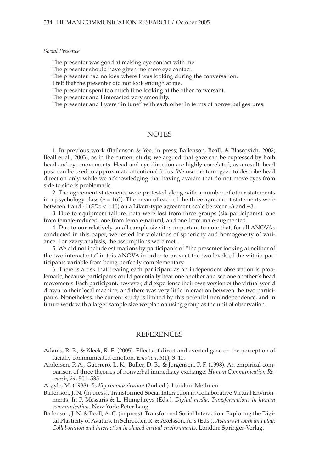#### *Social Presence*

The presenter was good at making eye contact with me.

The presenter should have given me more eye contact.

The presenter had no idea where I was looking during the conversation.

I felt that the presenter did not look enough at me.

The presenter spent too much time looking at the other conversant.

The presenter and I interacted very smoothly.

The presenter and I were "in tune" with each other in terms of nonverbal gestures.

# **NOTES**

1. In previous work (Bailenson & Yee, in press; Bailenson, Beall, & Blascovich, 2002; Beall et al., 2003), as in the current study, we argued that gaze can be expressed by both head and eye movements. Head and eye direction are highly correlated; as a result, head pose can be used to approximate attentional focus. We use the term gaze to describe head direction only, while we acknowledging that having avatars that do not move eyes from side to side is problematic.

2. The agreement statements were pretested along with a number of other statements in a psychology class ( $n = 163$ ). The mean of each of the three agreement statements were between 1 and -1 (*SDs* < 1.10) on a Likert-type agreement scale between -3 and +3.

3. Due to equipment failure, data were lost from three groups (six participants): one from female-reduced, one from female-natural, and one from male-augmented.

4. Due to our relatively small sample size it is important to note that, for all ANOVAs conducted in this paper, we tested for violations of sphericity and homogeneity of variance. For every analysis, the assumptions were met.

5. We did not include estimations by participants of "the presenter looking at neither of the two interactants" in this ANOVA in order to prevent the two levels of the within-participants variable from being perfectly complementary.

6. There is a risk that treating each participant as an independent observation is problematic, because participants could potentially hear one another and see one another's head movements. Each participant, however, did experience their own version of the virtual world drawn to their local machine, and there was very little interaction between the two participants. Nonetheless, the current study is limited by this potential nonindependence, and in future work with a larger sample size we plan on using group as the unit of observation.

# REFERENCES

Adams, R. B., & Kleck, R. E. (2005). Effects of direct and averted gaze on the perception of facially communicated emotion. *Emotion, 5*(1), 3–11.

Andersen, P. A., Guerrero, L. K., Buller, D. B., & Jorgensen, P. F. (1998). An empirical comparison of three theories of nonverbal immediacy exchange. *Human Communication Research, 24*, 501–535

Argyle, M. (1988). *Bodily communication* (2nd ed.). London: Methuen.

- Bailenson, J. N. (in press). Transformed Social Interaction in Collaborative Virtual Environments. In P. Messaris & L. Humphreys (Eds.), *Digital media: Transformations in human communication*. New York: Peter Lang.
- Bailenson, J. N. & Beall, A. C. (in press). Transformed Social Interaction: Exploring the Digital Plasticity of Avatars. In Schroeder, R. & Axelsson, A.'s (Eds.), *Avatars at work and play: Collaboration and interaction in shared virtual environments.* London: Springer-Verlag.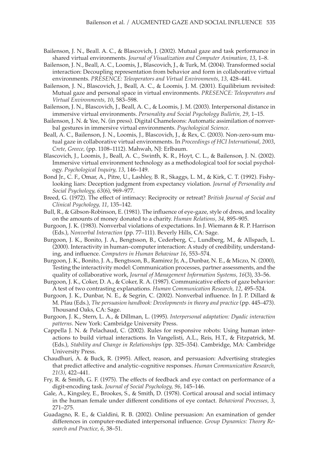- Bailenson, J. N., Beall. A. C., & Blascovich, J. (2002). Mutual gaze and task performance in shared virtual environments. *Journal of Visualization and Computer Animation, 13*, 1–8.
- Bailenson, J. N., Beall, A. C., Loomis, J., Blascovich, J., & Turk, M. (2004). Transformed social interaction: Decoupling representation from behavior and form in collaborative virtual environments. *PRESENCE: Teleoperators and Virtual Environments, 13,* 428–441.
- Bailenson, J. N., Blascovich, J., Beall, A. C., & Loomis, J. M. (2001). Equilibrium revisited: Mutual gaze and personal space in virtual environments. *PRESENCE: Teleoperators and Virtual Environments, 10*, 583–598.
- Bailenson, J. N., Blascovich, J., Beall, A. C., & Loomis, J. M. (2003). Interpersonal distance in immersive virtual environments. *Personality and Social Psychology Bulletin, 29*, 1–15.
- Bailenson, J. N. & Yee, N. (in press). Digital Chameleons: Automatic assimilation of nonverbal gestures in immersive virtual environments. *Psychological Science*.
- Beall, A. C., Bailenson, J. N., Loomis, J., Blascovich, J., & Rex, C. (2003). Non-zero-sum mutual gaze in collaborative virtual environments. In *Proceedings of HCI International, 2003*, *Crete, Greece,* (pp. 1108–1112). Mahwah, NJ: Erlbaum.
- Blascovich, J., Loomis, J., Beall, A. C., Swinth, K. R., Hoyt, C. L., & Bailenson, J. N. (2002). Immersive virtual environment technology as a methodological tool for social psychology. *Psychological Inquiry, 13*, 146–149.
- Bond Jr., C. F., Omar, A., Pitre, U., Lashley, B. R., Skaggs, L. M., & Kirk, C. T. (1992). Fishylooking liars: Deception judgment from expectancy violation. *Journal of Personality and Social Psychology, 63*(6), 969–977.
- Breed, G. (1972). The effect of intimacy: Reciprocity or retreat? *British Journal of Social and Clinical Psychology, 11*, 135–142.
- Bull, R., & Gibson-Robinson, E. (1981). The influence of eye-gaze, style of dress, and locality on the amounts of money donated to a charity. *Human Relations, 34*, 895–905.
- Burgoon, J. K. (1983). Nonverbal violations of expectations. In J. Wiemann & R. P. Harrison (Eds.), *Nonverbal Interaction* (pp. 77–111). Beverly Hills, CA: Sage.
- Burgoon, J. K., Bonito, J. A., Bengtsson, B., Cederberg, C., Lundberg, M., & Allspach, L. (2000). Interactivity in human–computer interaction: A study of credibility, understanding, and influence. *Computers in Human Behaviour 16*, 553-574.
- Burgoon, J. K., Bonito, J. A., Bengtsson, B., Ramirez Jr, A., Dunbar, N. E., & Miczo, N. (2000), Testing the interactivity model: Communication processes, partner assessments, and the quality of collaborative work, *Journal of Management Information Systems, 16*(3), 33–56.
- Burgoon, J. K., Coker, D. A., & Coker, R. A. (1987). Communicative effects of gaze behavior: A test of two contrasting explanations. *Human Communication Research, 12*, 495–524.
- Burgoon, J. K., Dunbar, N. E., & Segrin, C. (2002). Nonverbal influence. In J. P. Dillard & M. Pfau (Eds.), *The persuasion handbook: Developments in theory and practice* (pp. 445–473). Thousand Oaks, CA: Sage.
- Burgoon, J. K., Stern, L. A., & Dillman, L. (1995). *Interpersonal adaptation: Dyadic interaction patterns*. New York: Cambridge University Press.
- Cappella J. N. & Pelachaud, C. (2002). Rules for responsive robots: Using human interactions to build virtual interactions. In Vangelisti, A.L., Reis, H.T., & Fitzpatrick, M. (Eds.), *Stability and Change in Relationships* (pp. 325–354). Cambridge, MA: Cambridge University Press.
- Chaudhuri, A. & Buck, R. (1995). Affect, reason, and persuasion: Advertising strategies that predict affective and analytic–cognitive responses. *Human Communication Research, 21(3)*, 422–441.
- Fry, R. & Smith, G. F. (1975). The effects of feedback and eye contact on performance of a digit-encoding task. *Journal of Social Psychology, 96*, 145–146.
- Gale, A., Kingsley, E., Brookes, S., & Smith, D. (1978). Cortical arousal and social intimacy in the human female under different conditions of eye contact. *Behavioral Processes, 3*, 271–275.
- Guadagno, R. E., & Cialdini, R. B. (2002). Online persuasion: An examination of gender differences in computer-mediated interpersonal influence. *Group Dynamics: Theory Research and Practice, 6*, 38–51.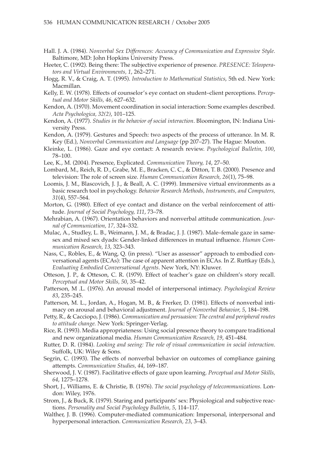- Hall. J. A. (1984). *Nonverbal Sex Differences: Accuracy of Communication and Expressive Style.*  Baltimore, MD: John Hopkins University Press.
- Heeter, C. (1992). Being there: The subjective experience of presence. *PRESENCE: Teleoperators and Virtual Environments, 1*, 262–271.
- Hogg, R. V., & Craig, A. T. (1995). *Introduction to Mathematical Statistics*, 5th ed. New York: Macmillan.
- Kelly, E. W. (1978). Effects of counselor's eye contact on student–client perceptions. P*erceptual and Motor Skills, 46*, 627–632.
- Kendon, A. (1970). Movement coordination in social interaction: Some examples described. *Acta Psychologica, 32(2)*, 101–125.
- Kendon, A. (1977). *Studies in the behavior of social interaction*. Bloomington, IN: Indiana University Press.
- Kendon, A. (1979). Gestures and Speech: two aspects of the process of utterance. In M. R. Key (Ed.), *Nonverbal Communication and Language* (pp 207–27)*.* The Hague: Mouton.
- Kleinke, L. (1986). Gaze and eye contact: A research review. *Psychological Bulletin, 100*, 78–100.
- Lee, K., M. (2004). Presence, Explicated. *Communication Theory, 14*, 27–50.
- Lombard, M., Reich, R. D., Grabe, M. E., Bracken, C. C., & Ditton, T. B. (2000). Presence and television: The role of screen size. *Human Communication Research, 26*(1), 75–98.
- Loomis, J. M., Blascovich, J. J., & Beall, A. C. (1999). Immersive virtual environments as a basic research tool in psychology. *Behavior Research Methods, Instruments, and Computers, 31*(4), 557–564.
- Morton, G. (1980). Effect of eye contact and distance on the verbal reinforcement of attitude. *Journal of Social Psychology, 111*, 73–78.
- Mehrabian, A. (1967). Orientation behaviors and nonverbal attitude communication. *Journal of Communication, 17,* 324–332.
- Mulac, A., Studley, L. B., Weimann, J. M., & Bradac, J. J. (1987). Male–female gaze in samesex and mixed sex dyads: Gender-linked differences in mutual influence. *Human Communication Research, 13*, 323–343.
- Nass, C., Robles, E., & Wang, Q. (in press). "User as assessor" approach to embodied conversational agents (ECAs): The case of apparent attention in ECAs. In Z. Ruttkay (Eds.), *Evaluating Embodied Conversational Agents*. New York, NY: Kluwer.
- Otteson, J. P., & Otteson, C. R. (1979). Effect of teacher's gaze on children's story recall. *Perceptual and Motor Skills, 50*, 35–42.
- Patterson, M .L. (1976). An arousal model of interpersonal intimacy. *Psychological Review 83*, 235–245.
- Patterson, M. L., Jordan, A., Hogan, M. B., & Frerker, D. (1981). Effects of nonverbal intimacy on arousal and behavioral adjustment. *Journal of Nonverbal Behavior, 5*, 184–198.
- Petty, R., & Cacciopo, J. (1986). *Communication and persuasion: The central and peripheral routes to attitude change.* New York: Springer-Verlag.
- Rice, R. (1993). Media appropriateness: Using social presence theory to compare traditional and new organizational media. *Human Communication Research, 19*, 451–484.
- Rutter, D. R. (1984). *Looking and seeing: The role of visual communication in social interaction*. Suffolk, UK: Wiley & Sons.
- Segrin, C. (1993). The effects of nonverbal behavior on outcomes of compliance gaining attempts. *Communication Studies, 44*, 169–187.
- Sherwood, J. V. (1987). Facilitative effects of gaze upon learning. *Perceptual and Motor Skills, 64*, 1275–1278.
- Short, J., Williams, E. & Christie, B. (1976). *The social psychology of telecommunications.* London: Wiley, 1976.
- Strom, J., & Buck, R. (1979). Staring and participants' sex: Physiological and subjective reactions. *Personality and Social Psychology Bulletin, 5*, 114–117.
- Walther, J. B. (1996). Computer-mediated communication: Impersonal, interpersonal and hyperpersonal interaction. *Communication Research, 23*, 3–43.